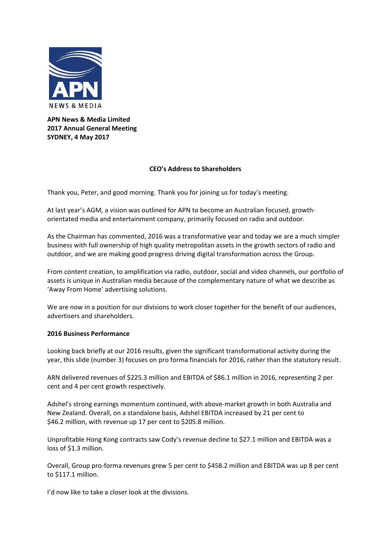

**APN News & Media Limited 2017 Annual General Meeting SYDNEY, 4 May 2017**

# **CEO's Address to Shareholders**

Thank you, Peter, and good morning. Thank you for joining us for today's meeting.

At last year's AGM, a vision was outlined for APN to become an Australian focused, growth‐ orientated media and entertainment company, primarily focused on radio and outdoor.

As the Chairman has commented, 2016 was a transformative year and today we are a much simpler business with full ownership of high quality metropolitan assets in the growth sectors of radio and outdoor, and we are making good progress driving digital transformation across the Group.

From content creation, to amplification via radio, outdoor, social and video channels, our portfolio of assets is unique in Australian media because of the complementary nature of what we describe as 'Away From Home' advertising solutions.

We are now in a position for our divisions to work closer together for the benefit of our audiences, advertisers and shareholders.

# **2016 Business Performance**

Looking back briefly at our 2016 results, given the significant transformational activity during the year, this slide (number 3) focuses on pro forma financials for 2016, rather than the statutory result.

ARN delivered revenues of \$225.3 million and EBITDA of \$86.1 million in 2016, representing 2 per cent and 4 per cent growth respectively.

Adshel's strong earnings momentum continued, with above-market growth in both Australia and New Zealand. Overall, on a standalone basis, Adshel EBITDA increased by 21 per cent to \$46.2 million, with revenue up 17 per cent to \$205.8 million.

Unprofitable Hong Kong contracts saw Cody's revenue decline to \$27.1 million and EBITDA was a loss of \$1.3 million.

Overall, Group pro‐forma revenues grew 5 per cent to \$458.2 million and EBITDA was up 8 per cent to \$117.1 million.

I'd now like to take a closer look at the divisions.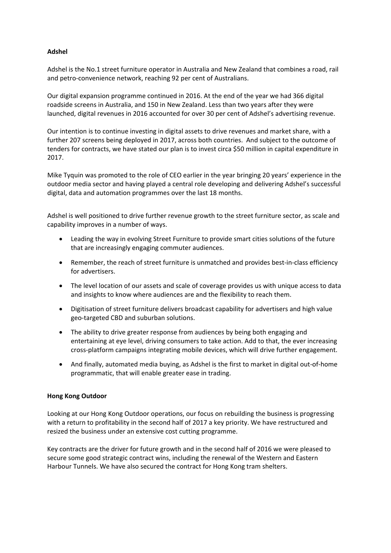# **Adshel**

Adshel is the No.1 street furniture operator in Australia and New Zealand that combines a road, rail and petro-convenience network, reaching 92 per cent of Australians.

Our digital expansion programme continued in 2016. At the end of the year we had 366 digital roadside screens in Australia, and 150 in New Zealand. Less than two years after they were launched, digital revenues in 2016 accounted for over 30 per cent of Adshel's advertising revenue.

Our intention is to continue investing in digital assets to drive revenues and market share, with a further 207 screens being deployed in 2017, across both countries. And subject to the outcome of tenders for contracts, we have stated our plan is to invest circa \$50 million in capital expenditure in 2017.

Mike Tyquin was promoted to the role of CEO earlier in the year bringing 20 years' experience in the outdoor media sector and having played a central role developing and delivering Adshel's successful digital, data and automation programmes over the last 18 months.

Adshel is well positioned to drive further revenue growth to the street furniture sector, as scale and capability improves in a number of ways.

- Leading the way in evolving Street Furniture to provide smart cities solutions of the future that are increasingly engaging commuter audiences.
- Remember, the reach of street furniture is unmatched and provides best-in-class efficiency for advertisers.
- The level location of our assets and scale of coverage provides us with unique access to data and insights to know where audiences are and the flexibility to reach them.
- Digitisation of street furniture delivers broadcast capability for advertisers and high value geo‐targeted CBD and suburban solutions.
- The ability to drive greater response from audiences by being both engaging and entertaining at eye level, driving consumers to take action. Add to that, the ever increasing cross‐platform campaigns integrating mobile devices, which will drive further engagement.
- And finally, automated media buying, as Adshel is the first to market in digital out‐of‐home programmatic, that will enable greater ease in trading.

# **Hong Kong Outdoor**

Looking at our Hong Kong Outdoor operations, our focus on rebuilding the business is progressing with a return to profitability in the second half of 2017 a key priority. We have restructured and resized the business under an extensive cost cutting programme.

Key contracts are the driver for future growth and in the second half of 2016 we were pleased to secure some good strategic contract wins, including the renewal of the Western and Eastern Harbour Tunnels. We have also secured the contract for Hong Kong tram shelters.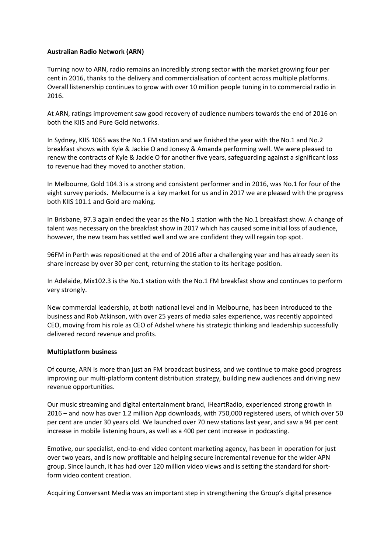# **Australian Radio Network (ARN)**

Turning now to ARN, radio remains an incredibly strong sector with the market growing four per cent in 2016, thanks to the delivery and commercialisation of content across multiple platforms. Overall listenership continues to grow with over 10 million people tuning in to commercial radio in 2016.

At ARN, ratings improvement saw good recovery of audience numbers towards the end of 2016 on both the KIIS and Pure Gold networks.

In Sydney, KIIS 1065 was the No.1 FM station and we finished the year with the No.1 and No.2 breakfast shows with Kyle & Jackie O and Jonesy & Amanda performing well. We were pleased to renew the contracts of Kyle & Jackie O for another five years, safeguarding against a significant loss to revenue had they moved to another station.

In Melbourne, Gold 104.3 is a strong and consistent performer and in 2016, was No.1 for four of the eight survey periods. Melbourne is a key market for us and in 2017 we are pleased with the progress both KIIS 101.1 and Gold are making.

In Brisbane, 97.3 again ended the year as the No.1 station with the No.1 breakfast show. A change of talent was necessary on the breakfast show in 2017 which has caused some initial loss of audience, however, the new team has settled well and we are confident they will regain top spot.

96FM in Perth was repositioned at the end of 2016 after a challenging year and has already seen its share increase by over 30 per cent, returning the station to its heritage position.

In Adelaide, Mix102.3 is the No.1 station with the No.1 FM breakfast show and continues to perform very strongly.

New commercial leadership, at both national level and in Melbourne, has been introduced to the business and Rob Atkinson, with over 25 years of media sales experience, was recently appointed CEO, moving from his role as CEO of Adshel where his strategic thinking and leadership successfully delivered record revenue and profits.

# **Multiplatform business**

Of course, ARN is more than just an FM broadcast business, and we continue to make good progress improving our multi-platform content distribution strategy, building new audiences and driving new revenue opportunities.

Our music streaming and digital entertainment brand, iHeartRadio, experienced strong growth in 2016 – and now has over 1.2 million App downloads, with 750,000 registered users, of which over 50 per cent are under 30 years old. We launched over 70 new stations last year, and saw a 94 per cent increase in mobile listening hours, as well as a 400 per cent increase in podcasting.

Emotive, our specialist, end‐to‐end video content marketing agency, has been in operation for just over two years, and is now profitable and helping secure incremental revenue for the wider APN group. Since launch, it has had over 120 million video views and is setting the standard for short‐ form video content creation.

Acquiring Conversant Media was an important step in strengthening the Group's digital presence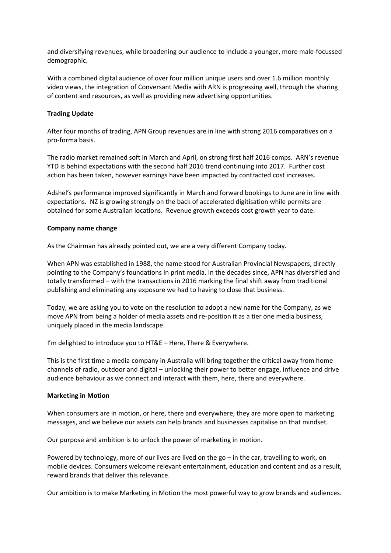and diversifying revenues, while broadening our audience to include a younger, more male‐focussed demographic.

With a combined digital audience of over four million unique users and over 1.6 million monthly video views, the integration of Conversant Media with ARN is progressing well, through the sharing of content and resources, as well as providing new advertising opportunities.

### **Trading Update**

After four months of trading, APN Group revenues are in line with strong 2016 comparatives on a pro‐forma basis.

The radio market remained soft in March and April, on strong first half 2016 comps. ARN's revenue YTD is behind expectations with the second half 2016 trend continuing into 2017. Further cost action has been taken, however earnings have been impacted by contracted cost increases.

Adshel's performance improved significantly in March and forward bookings to June are in line with expectations. NZ is growing strongly on the back of accelerated digitisation while permits are obtained for some Australian locations. Revenue growth exceeds cost growth year to date.

### **Company name change**

As the Chairman has already pointed out, we are a very different Company today.

When APN was established in 1988, the name stood for Australian Provincial Newspapers, directly pointing to the Company's foundations in print media. In the decades since, APN has diversified and totally transformed – with the transactions in 2016 marking the final shift away from traditional publishing and eliminating any exposure we had to having to close that business.

Today, we are asking you to vote on the resolution to adopt a new name for the Company, as we move APN from being a holder of media assets and re-position it as a tier one media business, uniquely placed in the media landscape.

I'm delighted to introduce you to HT&E - Here, There & Everywhere.

This is the first time a media company in Australia will bring together the critical away from home channels of radio, outdoor and digital – unlocking their power to better engage, influence and drive audience behaviour as we connect and interact with them, here, there and everywhere.

### **Marketing in Motion**

When consumers are in motion, or here, there and everywhere, they are more open to marketing messages, and we believe our assets can help brands and businesses capitalise on that mindset.

Our purpose and ambition is to unlock the power of marketing in motion.

Powered by technology, more of our lives are lived on the go – in the car, travelling to work, on mobile devices. Consumers welcome relevant entertainment, education and content and as a result, reward brands that deliver this relevance.

Our ambition is to make Marketing in Motion the most powerful way to grow brands and audiences.